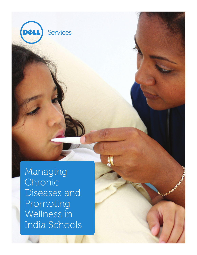Managing Chronic Diseases and Promoting Wellness in India Schools

Services

DZ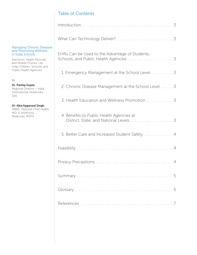# Table of Contents

#### Managing Chronic Diseases and Promoting Wellness in India Schools

Electronic Health Records and Mobile Phones Can Help Children, Schools, and Public Health Agencies

By:

Dr. Pankaj Gupta Regional Director – India International Healthcare, Dell

# Dr. Alka Aggarwal Singh

MBBS, Diploma Child Health, MD, (Community Medicine), MSPH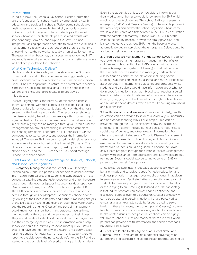#### **Introduction**

In India in 1961, the Rennuka Ray School Health Committee laid the foundation for school health by emphasizing health education and services in schools. Today, some schools give health checkups, and some high-end city schools provide sick rooms or infirmaries for which students pay. For most schools, however, health checkups are isolated events with little continuity from one checkup to the next. This nonintegrated tracking approach does little to build the overall health management capacity of the school even if there is a full-time or part-time healthcare worker (usually a nurse) stationed there. The question then becomes, can a country as renowned in IT and mobile networks as India use technology to better manage a well-defined population like schools?

#### What Can Technology Deliver?

Electronic Medical Records (EMRs) as shown in the Glossary of Terms at the end of this paper are increasingly creating a cross-sectional picture of a person's current medical condition. Since EHRs are longitudinal in nature, the central data repository is meant to hold all the medical data of all the people in the system, and EMRs and EHRs create different views of this database.

Disease Registry offers another view of this same database, so that all persons with that particular disease get listed. This disease registry is not necessarily dependent on the diagnosis entered by the healthcare provider. The records can show up in the disease registry based on complex algorithms consisting of signs, lab test results, and other parameters. The patients listed in a disease registry can be managed through a Chronic Disease Management system for prescribing customized care plans and sending reminders. Therefore, an EHR consists of various components to store, retrieve, and process the information included. This entire EHR can be a hosted model, either as standalone in an intranet or hosted on the Internet (Glossary). The EHRs can be accessed through laptop, desktop, and business phone devices, and the EHRs can send SMS (Short Message Service) to mobile phones.

## EHRs Can be Used to the Advantage of Students, Schools, and Public Health Agencies

1. Emergency Management at the School Level: In today's technological world, it is possible for schools to gather relevant information from parents and students in standardized formats, conduct a baseline student health checkup, and enter the entire data through desktops or laptops into a central data repository. Over a period of time, the EMRs turn into a complete EHR. The EHR contains information that can be easily retrieved on demand through desktops/laptops, or business phone devices. By looking at the Disease Registry and further simplifying analysis of the EHR data by slicing and dicing through data warehousing and the reporting engine (Glossary) the school management could know, for instance, how many students have asthma, the medications they use and the seriousness of their illness. They would be able to identify students at risk for emergencies and their emergency care plans. This information would help schools to equip the infirmary, respond more quickly if issues arise, and have arrangements with a nearby physician/hospital for emergencies. For instance, if an asthmatic student were to report to the sick room, the nurse could refer to the EHR and be alerted to the possible level of severity in this particular student.

Even if the student is confused or too sick to inform about their medications, the nurse would know from the EMR which medication they typically use. The school EHR can transmit an emergency SMS (Short Message Service) to the mobile phone of the family physician and/or the school physician whose name would also be stored as a first contact in the EHR in consultation with the parents. Alternatively, if there is an EMR/EHR of the child in the nearby hospital, or with the family physician, and it is connected to the school EHR, then the hospital would automatically get an alert about the emergency. Delays could be avoided to help avert tragic events.

2. Chronic Disease Management at the School Level: In addition to providing important emergency management benefits to children and school authorities, EMRs overlaid with Chronic Disease Management systems (Glossary) would help ensure that students receive assistance in managing certain chronic diseases such as diabetes, or risk factors including obesity, smoking, hypertension, epilepsy, asthma, and more.<sup>1</sup> EHRs could assist schools in implementing guidelines and protocols, while students and caregivers would have information about what to do in specific situations, such as if blood sugar reaches a certain level in a diabetic student. Relevant information can be accessed directly by logging onto the Internet or through mobile phones and business phone devices, which are fast becoming ubiquitous and personalized.

3. Health Education and Wellness Promotion: Similarly, health education can be provided to students individually in unobtrusive and non-condescending ways. For example, links can be provided through the EMR to sites that show the harms of smoking, and that may include contact details for counselors, social sites of quitters, and other relevant information. For obese or overweight students, a Chronic Disease Management system can be linked to mobile phones, and SMS reminders for exercise can be sent automatically at a time pre-set by students themselves. Students could be guided to choose their own daily fitness program through the Chronic Disease Management system with assistance from counselors and automatic schedule reminders. Systems could also be set up to send an SMS to parents to further reinforce programs.

Since EHRs facilitate instant feedback electronically, they can be tailor-made and to facilitate specific health education and wellness promotion messages over mobile phones. In addition, Internet usage could facilitate further connectivity and prompt students to form support groups, such as those with diabetes or those trying to quit smoking (Glossary). A further advantage is that indirect contact can prompt added confidence and disclosure, perhaps even to a counselor. Greater connectivity can also be useful in certain situations that are perceived as embarrassing, an example could be issues related to sexual health. In these instances, the student portal (Glossary) provides functions similar to a social networking site but for specific and health-related issues.2 Since parental feedback can be highly valuable to school nurses and teachers, there are times when parents can provide health information and specific feedback regarding their children.

4. Benefits to Public Health Agencies at District, State, and National Levels: There are multiple potential advantages of automating and standardizing school health records. Looking up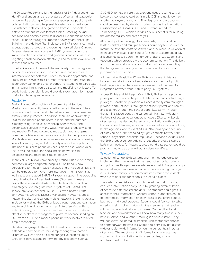the Disease Registry and further analysis of EHR data could help identify and understand the prevalence of certain diseases/risk factors while assisting in formulating appropriate public health policies. EHRs can also help enable systematic surveillance. For instance, data could be gathered from 200 schools in a state on student lifestyle factors such as smoking, sexual behavior, and obesity as well as diseases like anemia or dental caries– all done through six-month or even yearly checkups. Building in pre-defined filter indicators in EHR systems can make access, output, analysis, and reporting more efficient. Chronic Disease Management along with EMR systems can ensure implementation of standardized guidelines and care, assist in targeting health education effectively, and facilitate evaluation of services and resources.

5. Better Care and Increased Student Safety: Technology can deliver less labor-intensive, more accurate, and up-to-date information to schools that is useful to provide appropriate and timely health services that promote wellness among students. Technology can enable greater control for students to participate in managing their chronic diseases and modifying risk factors. To public health agencies, it could provide systematic information useful for planning and evaluation.

#### Feasibility

Availability and Affordability of Equipment and Services. Most schools currently have or will acquire in the near future computers with broadband Internet services for academic and administrative purposes. In addition, there are approximately 400 million mobile phone users in India, and the number is rapidly rising.3 Mobiles offer cheap, user-friendly, and personalized service in many ways. Most users regularly send and receive SMS and download music, pictures, and games from the mobile Internet service according to their preferences. Mobile devices have gained a widespread and every-increasing level of comfort, use, and affordability across the population. The use of business phone devices is on the rise, where voice, text, email, Websites, and social media networks can be accessed and managed simultaneously.

Technical Feasibility/Interoperability. EMRs/EHRs are becoming common in large corporate hospitals. The trend is now percolating to medium-sized hospitals and physician clinics, and can be expected to move more into government systems as well. Most of the good EMR/EHR systems support interoperability through adoption of standard norms (Glossary). In many cases, these open standards make it technically possible and advantageous to integrate various systems of EMRs/EHRs, school/physician/hospital EMRs/EHRs, Web-hosted EMR/ EHR systems, Chronic Disease Management systems, social networking sites, and various mobile networks. Systems are also in place for making the EHRs unique through student registration and to avoid duplication through an Enterprise Master Person Index (Glossary). In most cases, mobile phones can make an effective healthcare management platform because sending an SMS from an EHR to a mobile phone network involves relatively simple technology.

Standard Language. In the world of medicine, there is not always a standard nomenclature, for example: congestive cardiac failure or CCF can also be called congestive heart failure or CHF. EHRs have a standard terminology dictionary, such as

SNOMED, to help ensure that everyone uses the same sets of keywords; congestive cardiac failure is CCF and not known by another acronym or synonym. The diagnosis and procedures could be described by standard codes, such as the International Classification of Diseases (ICD) and Current Procedure Terminology (CPT), which provides obvious benefits for building the disease registry and data analysis.

Affordability of Technology. To share costs, EHRs could be hosted centrally and multiple schools could pay for use over the Internet to save the costs of software and individual installation at each facility. Instead, each school (or school system) could pay a license fee based upon the number of users (i.e., students and teachers), which creates a more economical option. This delivery and costing model is a type of cloud virtualization computing that has gained popularity in the business sector for cost and performance efficiencies.

Administrative Feasibility. When EHRs and relevant data are located centrally, instead of separately in each school, public health agencies can have easier access without the need for integration between various third-party EMR systems.

Access Rights and Privileges. Good EMR/EHR systems provide privacy and security of the patient data. To set and control usage privileges, healthcare providers will access the system through a provider portal, students through the student portal, and parents and teachers through the school portal (Glossary). Through the administration portal, the system administrator will grant the levels of access to various stakeholders (Glossary). Levels of access can be decided based on consultations with parent bodies, student leaders, school authorities, education institutions, health agencies, and relevant NGOs. Also, privacy and security of data can be further handled by tight contracts between the schools, physicians, hospitals, reputable IT service providers, and the EHR product vendor. Additional security protocols can be built in as needed; for instance, broad trend data search could be programmed to be done without student identifiers.

#### Privacy Precautions

Selection of school EHR systems and the methodologies to implement them requires that the needs of schools, students, and public health agencies are adequately met.<sup>4</sup> One primary upfront challenge to address is that information sharing is a huge issue. Confidentiality is of paramount importance for students who are minors and for schools to a certain extent.

The system administrator, through the administration portal, can keep information anonymous by granting different levels of access to different stakeholders. The students could get full access to their information, whereas school authorities could get composite information on each class or the entire school, but not on individual students. Students could feel comfortable entering their smoking status with the assurance that teachers will not know individually who smokes. On the other hand, teachers and administrators will know how many smokers they have in school and whether smoking is a serious issue. They will not know the individual smokers, unless students choose to come forward themselves. States could similarly get districtwide or region-wide information on the general health status of schools. The exact extent of information sharing can be worked out in consultation with parent bodies, schools, and health authorities.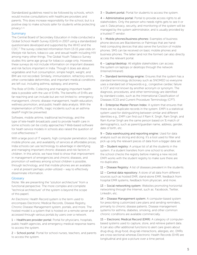Standardized guidelines need to be followed by schools, which would involve consultations with healthcare providers and parents. This does increase responsibility for the school, but is a positive step to make schools safer for students while protecting privacy.5, <sup>6</sup>

# Summary

The Central Board of Secondary Education in India conducted a Global School Health Survey (GSHS) in 2007 using a standardized questionnaire developed and supported by the WHO and the CDC.7 The survey collected information from 13-15 year-olds on lifestyle risk factors, tobacco use, and sexual health including HIV among many other things. The Global Youth Tobacco Survey studies this same age group for tobacco usage only. However, these surveys do not include information on important diseases and risk factors important in India. Though it does ask about vegetables and fruit consumption, simple height, weight, and BMI are not recorded. Similarly, immunization, refractory errors, other correctable deformities, and important medical conditions are left out, including asthma, epilepsy, and anemia.

The Role of EHRs. Collecting and managing important health data is possible with the use of EHRs. The benefits of EHRs are far-reaching and can include but are not limited to: emergency management, chronic disease management, health education, wellness promotion, and public health data analysis. With the implementation of EHRs, tragic incidents such as an asthma death<sup>8</sup> might be prevented.

Software, mobile airtime, traditional technology, and the type of tele-health broadcasts used to provide health care in some schools can be costly approaches.9 Web-based software for heath service models in schools also raised the question of cost-effectiveness.10

With a large pool of IT experts, high computer penetration, broad mobile phone use, and availability of services at affordable prices, India schools can use technology to advantage in identifying and managing important chronic diseases and risk factors in children. In this article, we have tried to show that improvement in management of emergencies and chronic diseases, and promotion of wellness among school children is possible, through technology, and that mobile phones are an available – and at present perhaps under-utilized – way to effectively disseminate information.

## **Glossary**

(Note: We are presenting the "solution architecture" from a functional perspective. The more complex and complete "technical architecture" of the system is beyond the scope of this paper).

An Electronic Health Record system is the term used to encompass Electronic Medical Records, Disease Registry, Chronic Disease Management system, portals, and more. The hosted model is a system that is hosted on a remote server and accessed through various portals by users over a network.

1 – Healthcare provider portal: Portal for physicians, hospitals, public health agencies, and emergency medical response teams to access the system.

2 – School portal: Portal for school nurses, teachers, and parents to access the system.

3 – Student portal: Portal for students to access the system.

4 – Administrative portal: Portal to provide access rights to all stakeholders. Only the person who needs rights gets to see it or use it. Data privacy, security, and monitoring of the system will be managed by the system administrator, and is usually provided by a trusted IT vendor.

5 – Mobile phones/business phones: Examples of business phone devices are Blackberries or Palmtops that are handheld computing devices that also serve the function of mobile phones. SMS can be received on basic mobile phones and business phones. The latter (and not the former) can also directly access the relevant portal.

6 – Laptop/desktop: All eligible stakeholders can access the system on laptops or desktops through the network (Internet/intranet).

7 – Standard terminology engine: Ensures that the system has a standard terminology dictionary such as SNOMED so everyone uses a standard set of keywords e.g., congestive cardiac failure is CCF and not known by another acronym or synonym. The diagnosis, procedures, and other terminology are identified by standard codes, such as the International Classification of Diseases (ICD) and Current Procedure Terminology (CPT).

8 – Enterprise Master Person Index: A system that ensures that there are no duplicate records in the system. EMPI is a statistical system used for distinguishing between similar and different identities e.g., EMPI can find out if Ram K. Singh, Ram Singh, and Ram Kumar Singh are the same person based on % match of demographics, such as parent/guardian name, address, gender, date of birth, etc.

9 – Data warehousing and reporting engine: Used for data analysis such as slicing and dicing. It's a tool used to filter and pick up only the relevant pieces of data from a bigger data set.

10 – Student registry: A unique list of all the students in the system. If a student transfers from one school to another, the school checks the registry before making a new record. EMPI works with the student registry to make sure there are no duplicates.

11 – Disease Registry: A list of diseases prevalent in the students.

12 – Central data repository: A store of all data from different sources such as hosted EMR, stand-alone EMR, feedback from hospital EMR systems, feedback from physician, and more.

13 – Social networking system: Websites promoting horizontal networking through the Internet, such as: Facebook, Twitter, LinkedIn, etc.

14 – Disease Management system: A computer-based system for prescribing customized care plans and sending reminders, primarily to chronic disease patients. Disease management systems for asthma, diabetes, smoking, and other common chronic conditions are available commercially.

15 – Electronic Medical Record (EMR): A category of computerbased systems used to capture, store, and retrieve patient data. It can also offer additional functions to alert care givers about drug-drug, drug-food, drug-lab interactions, allergies, etc. EMRs are cross-sectional whereas Electronic Health Records (EHR) are longitudinal and give a picture over a time period.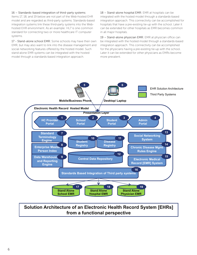#### 16 – Standards-based integration of third-party systems:

Items 17, 18, and 19 below are not part of the Web-hosted EHR model and are regarded as third-party systems. Standards-based integration systems link these third-party systems into the Webhosted EHR environment. As an example: HL7 is one common standard for connecting two or more healthcare IT computer systems.

17 - Stand-alone school EMR: Some schools may have their own EMR, but may also want to link into the disease management and social networking features offered by the hosted model. Such stand-alone EMR systems can be integrated with the hosted model through a standards-based integration approach.

18 – Stand-alone hospital EMR: EMR at hospitals can be integrated with the hosted model through a standards-based integration approach. This connectivity can be accomplished for hospitals that have a pre-existing tie-up with the school. Later it can be extended for other hospitals as EMR becomes common in all major hospitals.

19 – Stand-alone physician EMR: EMR at physician office can be integrated with the hosted model through a standards-based integration approach. This connectivity can be accomplished for the physicians having a pre-existing tie-up with the school. Later it can be extended for other physicians as EMRs become more prevalent.



# **Solution Architecture of an Electronic Health Record System [EHRs] from a functional perspective**